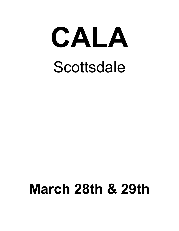

# **March 28th & 29th**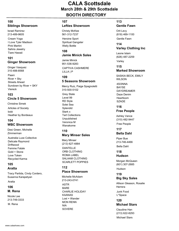## **100 Siblings Showroom**

Israel Ramirez 213-489-9605

Cream Yoga I Love Tyler Madison Pink Martini Sahira Jewelry Tiare Hawaii

#### **101 Ginger Showroom**

Ginger Vasquez 310-488-8568

Paani River + Sky Streets Ahead Sundown by River + SKY Viereck

#### **103 Circle 5 Showroom**

Articles of Society bobi Heather by Bordeaux Christine Simek

#### **104 WBC Showroom**

Desi Green, Michelle Zimmerman

Australia Luxe Collective Delicate Raymond Driftwood Femme Fatale Gold + Stone Love Token Recycled Karma

#### **105 Aratta**

Tracy Partida, Cindy Cordero, Susanna Karapetyan

Aratta

#### **106 M. Rena**

Nicole Lee 213-749-3333

M. Rena

#### **107**

### **Lefties Showroom**

Christy McKee 561-312-7237

Heroine Sport Spiritual Gangster Welly Bottle

#### **108 Jamie Minick Sales**

CAPTIVA CASHMERE LILLA | P Jamie Minick 951-536-9283

#### **109 5 Seasons Showroom**

Grey State Level 99 RD Style Solei Sea Splendid Stark x Tart Collections Unpublished Veronica M Wanakome Mercy Ruiz, Paige Spagnoletti 310-500-5102

## **110**

#### **Mary Minser Sales**

DANTELLE ORB CLOTHING ROMA LABEL SALAAM CLOTHING SCARLETT POPPIES Mary Minser (213) 627-4884

# **112**

## **Place Showroom**

ASTR BARE CHARLIE HOLIDAY KAANAS Lost + Wander MON RENN NIA SOVERE Michelle McAdam 213-243-0741

# **113**

# **Gentle Fawn**

Gentle Fawn Orit Levy (818) 469-1100

**114 Varley Clothing Inc**

Varley Leone Islam (626) 487-2259

#### **115 Marked Showroom**

SASKIA BECK, EMILY WILSON

4SI3NNA BAYSE DAYDREAMER Daze Denim Heartloom **SZADE** 

**116 Free People**

Free People Ashley Vance (310) 482-9447

#### **117 Bella Dahl**

Bella Dahl Piper Bue 213-746-4466

# **118**

**Hudson**

Hudson Morgan McQueen (601) 307-2685

#### **119 Big Sky Sales**

Junk Food Allison Gleason, Rosalie Herrera

L\*Space **120**

# **Michael Stars**

Michael Stars Claudine Han (213) 622-8293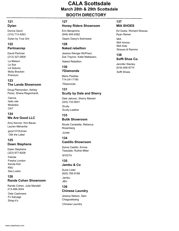#### **121 Dylan**

Dylan by True Grit Donna Gavin (310) 713-4263

#### **122 Perlmanrep**

David Perlman (213) 327-0809

La Maison Le Soir Lili Sidonio Molly Bracken Premium

#### **123 The Landa Showroom**

Doug Plamondon, Ashley Perez, Shana Regenhardt,

Cienna hello nite Mododoc **OAT** 

#### **124 We Are Good LLC**

Amy Kenner, Kim Bauer, Lauren Mehanfar

good hYOUman Olik the Label

#### **125 Dawn Stephens**

Felicite Fresha London Kenda Kist KMJ Sea Lustre Dawn Stephens (323) 877-8208

#### **126 Rande Cohen Showroom**

Rande Cohen, Julie Mandell 213-489-3044

Oats Cashmere PJ Salvage Strap-it's

#### **127**

#### **Honey Riders Showroom**

Erin Benjamins (949) 945-8382

Dippin Daisy's Swimwear

#### **128 Naked rebellion**

Naked Rebellion Jessica Wenger McPhaul, Zoe Traynor, Katie Mattazaro,

#### **130 7Diamonds**

7Diamonds Mario Pasillas 714-241-7190

#### **131 Scully by Dale and Sherry**

**Scully** Scully-Leather Dale Jalovec, Sherry Maresh (303) 733-9051

**133**

# **Butik Showroom**

Jurate Nicole Carabetta, Rebecca Rosenberg

## **134**

#### **Castillo Showroom**

WYETH Sylvia Castillo, Emma Teasdale, Ruthie Miller

# **135**

#### **Jambu & Co**

Jambu JBU Suzie Lister (925) 785-9188

# **136 Chinese Laundry**

Chinese Laundry Jessica Nelson, Sam Chagzoetsang

#### **137 MIA SHOES**

MIA<sup>3</sup> Ed Goetz, Richard Strauss, Ryan Reiner

MIA Amore MIA Kids Strauss & Ramms

# **138**

#### **Sofft Shoe Co.**

Sofft Shoes Jennifer Stanley (818) 606-9774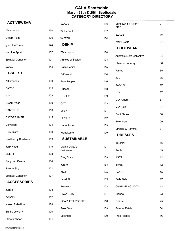| <b>ACTIVEWEAR</b>                        |     | <b>SZADE</b>               | 115 | Sundown by River +<br><b>SKY</b> | 101 |
|------------------------------------------|-----|----------------------------|-----|----------------------------------|-----|
| 7Diamonds                                | 130 | <b>Welly Bottle</b>        | 107 |                                  |     |
| Cream Yoga                               | 100 | <b>WYETH</b>               | 134 | <b>SZADE</b>                     | 115 |
| good hYOUman                             | 124 | <b>DENIM</b>               |     | <b>Welly Bottle</b>              | 107 |
| Heroine Sport                            | 107 | 7Diamonds                  | 130 | <b>FOOTWEAR</b>                  |     |
| <b>Spiritual Gangster</b>                | 107 | Articles of Society        | 103 | Australia Luxe Collective        | 104 |
| Varley                                   | 114 | Daze Denim                 | 115 | Chinese Laundry                  | 136 |
| <b>T-SHIRTS</b>                          |     | Driftwood                  | 104 | Jambu                            | 135 |
|                                          |     |                            |     | <b>JBU</b>                       | 135 |
| 7Diamonds                                | 130 | Free People                | 116 | <b>KAANAS</b>                    | 112 |
| <b>BAYSE</b>                             | 115 | Hudson                     | 118 | <b>MIA</b>                       | 137 |
| bobi                                     | 103 | Level 99                   | 109 |                                  |     |
| Cream Yoga                               | 100 | OAT                        | 123 | <b>MIA Amore</b>                 | 137 |
| <b>DANTELLE</b>                          | 110 | Scully                     | 131 | <b>MIA Kids</b>                  | 137 |
| <b>DAYDREAMER</b>                        | 115 | SOVERE                     | 112 | Sofft Shoes                      | 138 |
| Driftwood                                | 104 |                            | 109 | Solei Sea                        | 109 |
|                                          |     | Unpublished                |     | Strauss & Ramms                  | 137 |
| <b>Grey State</b>                        | 109 | Wanakome                   | 109 | <b>DRESSES</b>                   |     |
| Heather by Bordeaux                      | 103 | <b>SUSTAINABLE</b>         |     | 4SI3NNA                          | 115 |
| Junk Food                                | 119 | Dippin Daisy's<br>Swimwear | 127 | Aratta                           | 105 |
| LILLA   P                                | 108 |                            |     |                                  |     |
| Recycled Karma                           | 104 | <b>Grey State</b>          | 109 | <b>ASTR</b>                      | 112 |
| River + Sky                              | 101 | Jurate                     | 133 | <b>BARE</b>                      | 112 |
|                                          |     | KMJ                        | 125 | <b>BAYSE</b>                     | 115 |
| Spiritual Gangster<br><b>ACCESSORIES</b> | 107 | Level 99                   | 109 | Bella Dahl                       | 117 |
|                                          |     | Premium                    | 122 | CHARLIE HOLIDAY                  | 112 |
| Jurate                                   | 133 | River + Sky                | 101 | Cienna                           | 123 |
| <b>KAANAS</b>                            | 112 |                            |     |                                  |     |
| Naked Rebellion                          | 128 | <b>SCARLETT POPPIES</b>    | 110 | Felicite                         | 125 |
| Sahira Jewelry                           | 100 | Solei Sea                  | 109 | Femme Fatale                     | 104 |
| <b>Streets Ahead</b>                     | 101 | Splendid                   | 109 | Free People                      | 116 |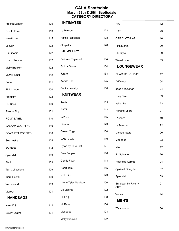| Fresha London           | 125 | <b>INTIMATES</b>     |     | <b>NIA</b>                | 112 |
|-------------------------|-----|----------------------|-----|---------------------------|-----|
| Gentle Fawn             | 113 | La Maison            | 122 | <b>OAT</b>                | 123 |
| Heartloom               | 115 | Naked Rebellion      | 128 | ORB CLOTHING              | 110 |
| Le Soir                 | 122 | Strap-it's           | 126 | Pink Martini              | 100 |
| Lili Sidonio            | 122 | <b>JEWELRY</b>       |     | <b>RD Style</b>           | 109 |
| Lost + Wander           | 112 | Delicate Raymond     | 104 | Wanakome                  | 109 |
| Molly Bracken           | 122 | Gold + Stone         | 104 | <b>LOUNGEWEAR</b>         |     |
| <b>MON RENN</b>         | 112 | Jurate               | 133 | CHARLIE HOLIDAY           | 112 |
| Paani                   | 101 | Kenda Kist           | 125 | Driftwood                 | 104 |
| Pink Martini            | 100 | Sahira Jewelry       | 100 | good hYOUman              | 124 |
| Premium                 | 122 | <b>KNITWEAR</b>      |     | <b>Grey State</b>         | 109 |
| RD Style                | 109 | Aratta               | 105 | hello nite                | 123 |
| River + Sky             | 101 | <b>ASTR</b>          | 112 | Heroine Sport             | 107 |
| ROMA LABEL              | 110 | <b>BAYSE</b>         | 115 | L*Space                   | 119 |
| SALAAM CLOTHING         | 110 | Cienna               | 123 | La Maison                 | 122 |
| <b>SCARLETT POPPIES</b> | 110 | Cream Yoga           | 100 | <b>Michael Stars</b>      | 120 |
| Sea Lustre              | 125 | DANTELLE             | 110 | Mododoc                   | 123 |
| SOVERE                  | 112 | Dylan by True Grit   | 121 | <b>NIA</b>                | 112 |
| Splendid                | 109 | Free People          | 116 | PJ Salvage                | 126 |
| Stark x                 | 109 | Gentle Fawn          | 113 | Recycled Karma            | 104 |
| <b>Tart Collections</b> | 109 | Heartloom            | 115 | <b>Spiritual Gangster</b> | 107 |
| Tiare Hawaii            | 100 | hello nite           | 123 | Splendid                  | 109 |
| Veronica M              | 109 | I Love Tyler Madison | 100 | Sundown by River +        | 101 |
| Viereck                 | 101 | Lili Sidonio         | 122 | <b>SKY</b>                |     |
| <b>HANDBAGS</b>         |     | LILLA   P            | 108 | Varley                    | 114 |
| <b>KAANAS</b>           | 112 | M. Rena              | 106 | <b>MEN'S</b>              |     |
| Scully-Leather          | 131 | Mododoc              | 123 | 7Diamonds                 | 130 |
|                         |     | Molly Bracken        | 122 |                           |     |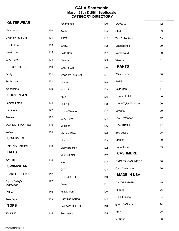| <b>OUTERWEAR</b>           |     | 7Diamonds            | 130 | SOVERE                  | 112 |
|----------------------------|-----|----------------------|-----|-------------------------|-----|
| 7Diamonds                  | 130 | Aratta               | 105 | Stark x                 | 109 |
| Dylan by True Grit         | 121 | <b>ASTR</b>          | 112 | <b>Tart Collections</b> | 109 |
| Gentle Fawn                | 113 | <b>BARE</b>          | 112 | Unpublished             | 109 |
| Heartloom                  | 115 | Bella Dahl           | 117 | Veronica M              | 109 |
| Love Token                 | 104 | Cienna               | 123 | Viereck                 | 101 |
| ORB CLOTHING               | 110 | <b>DANTELLE</b>      | 110 | <b>PANTS</b>            |     |
| Scully                     | 131 | Dylan by True Grit   | 121 | 7Diamonds               | 130 |
| Scully-Leather             | 131 | Felicite             | 125 | <b>BARE</b>             | 112 |
| Wanakome                   | 109 | hello nite           | 123 | <b>Bella Dahl</b>       | 117 |
| <b>EUROPEAN</b>            |     | KMJ                  | 125 | Femme Fatale            | 104 |
| Femme Fatale               | 104 | LILLA   P            | 108 | I Love Tyler Madison    | 100 |
| Lili Sidonio               | 122 | Lost + Wander        | 112 | Level 99                | 109 |
| Premium                    | 122 | Love Token           | 104 | Lost + Wander           | 112 |
| <b>SCARLETT POPPIES</b>    | 110 | M. Rena              | 106 | <b>MON RENN</b>         | 112 |
| Varley                     | 114 | <b>Michael Stars</b> | 120 | Sea Lustre              | 125 |
| <b>SCARVES</b>             |     | Mododoc              | 123 | Stark x                 | 109 |
| CAPTIVA CASHMERE           | 108 | Molly Bracken        | 122 | Unpublished             | 109 |
| <b>HATS</b>                |     | <b>MON RENN</b>      | 112 | <b>CASHMERE</b>         |     |
| <b>WYETH</b>               | 134 | <b>NIA</b>           | 112 | CAPTIVA CASHMERE        | 108 |
| <b>SWIMWEAR</b>            |     | OAT                  | 123 | Oats Cashmere           | 126 |
| <b>CHARLIE HOLIDAY</b>     | 112 | ORB CLOTHING         | 110 | <b>MADE IN USA</b>      |     |
| Dippin Daisy's<br>Swimwear | 127 | Paani                | 101 | DAYDREAMER              | 115 |
| L*Space                    | 119 | Pink Martini         | 100 | Felicite                | 125 |
| Solei Sea                  | 109 | Recycled Karma       | 104 | Gold + Stone            | 104 |
| <b>TOPS</b>                |     | SALAAM CLOTHING      | 110 | good hYOUman            | 124 |
| 4SI3NNA                    | 115 | Sea Lustre           | 125 | KMJ                     | 125 |
|                            |     |                      |     | M. Rena                 | 106 |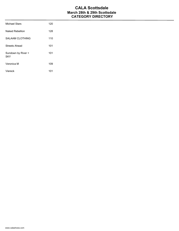| Michael Stars                    | 120 |
|----------------------------------|-----|
| Naked Rebellion                  | 128 |
| <b>SALAAM CLOTHING</b>           | 110 |
| Streets Ahead                    | 101 |
| Sundown by River +<br><b>SKY</b> | 101 |
| Veronica M                       | 109 |
| Viereck                          | 101 |